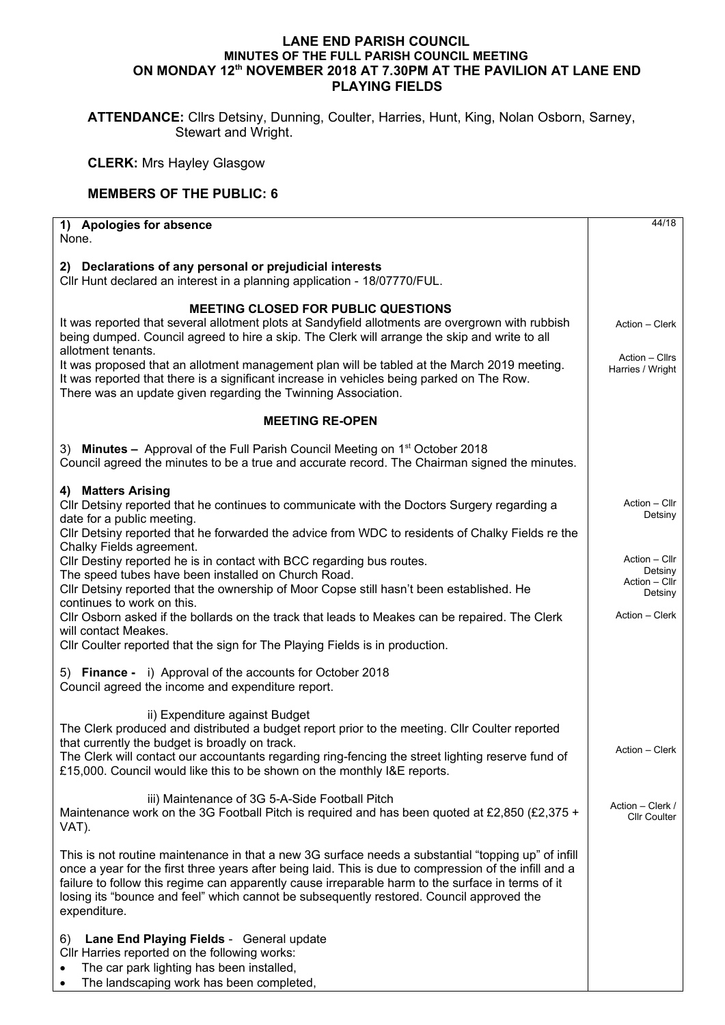## **LANE END PARISH COUNCIL MINUTES OF THE FULL PARISH COUNCIL MEETING ON MONDAY 12th NOVEMBER 2018 AT 7.30PM AT THE PAVILION AT LANE END PLAYING FIELDS**

**ATTENDANCE:** Cllrs Detsiny, Dunning, Coulter, Harries, Hunt, King, Nolan Osborn, Sarney, Stewart and Wright.

**CLERK:** Mrs Hayley Glasgow

## **MEMBERS OF THE PUBLIC: 6**

| 1) Apologies for absence<br>None.                                                                                                                                                                                                                                                                                                                                                                                                                                                                                                  | 44/18                                                                  |
|------------------------------------------------------------------------------------------------------------------------------------------------------------------------------------------------------------------------------------------------------------------------------------------------------------------------------------------------------------------------------------------------------------------------------------------------------------------------------------------------------------------------------------|------------------------------------------------------------------------|
| 2) Declarations of any personal or prejudicial interests<br>Cllr Hunt declared an interest in a planning application - 18/07770/FUL.                                                                                                                                                                                                                                                                                                                                                                                               |                                                                        |
| <b>MEETING CLOSED FOR PUBLIC QUESTIONS</b><br>It was reported that several allotment plots at Sandyfield allotments are overgrown with rubbish<br>being dumped. Council agreed to hire a skip. The Clerk will arrange the skip and write to all<br>allotment tenants.<br>It was proposed that an allotment management plan will be tabled at the March 2019 meeting.<br>It was reported that there is a significant increase in vehicles being parked on The Row.<br>There was an update given regarding the Twinning Association. | Action - Clerk<br>Action – Cllrs<br>Harries / Wright                   |
| <b>MEETING RE-OPEN</b>                                                                                                                                                                                                                                                                                                                                                                                                                                                                                                             |                                                                        |
| 3) Minutes - Approval of the Full Parish Council Meeting on 1 <sup>st</sup> October 2018<br>Council agreed the minutes to be a true and accurate record. The Chairman signed the minutes.                                                                                                                                                                                                                                                                                                                                          |                                                                        |
| 4) Matters Arising<br>CIIr Detsiny reported that he continues to communicate with the Doctors Surgery regarding a<br>date for a public meeting.<br>Cllr Detsiny reported that he forwarded the advice from WDC to residents of Chalky Fields re the                                                                                                                                                                                                                                                                                | Action - Cllr<br>Detsiny                                               |
| Chalky Fields agreement.<br>Cllr Destiny reported he is in contact with BCC regarding bus routes.<br>The speed tubes have been installed on Church Road.<br>Cllr Detsiny reported that the ownership of Moor Copse still hasn't been established. He<br>continues to work on this.                                                                                                                                                                                                                                                 | Action - Cllr<br>Detsiny<br>Action - Cllr<br>Detsiny<br>Action - Clerk |
| CIIr Osborn asked if the bollards on the track that leads to Meakes can be repaired. The Clerk<br>will contact Meakes.<br>Cllr Coulter reported that the sign for The Playing Fields is in production.                                                                                                                                                                                                                                                                                                                             |                                                                        |
| 5) Finance - i) Approval of the accounts for October 2018<br>Council agreed the income and expenditure report.                                                                                                                                                                                                                                                                                                                                                                                                                     |                                                                        |
| ii) Expenditure against Budget<br>The Clerk produced and distributed a budget report prior to the meeting. Cllr Coulter reported<br>that currently the budget is broadly on track.<br>The Clerk will contact our accountants regarding ring-fencing the street lighting reserve fund of<br>£15,000. Council would like this to be shown on the monthly I&E reports.                                                                                                                                                                | Action - Clerk                                                         |
| iii) Maintenance of 3G 5-A-Side Football Pitch<br>Maintenance work on the 3G Football Pitch is required and has been quoted at £2,850 (£2,375 +<br>VAT).                                                                                                                                                                                                                                                                                                                                                                           | Action - Clerk /<br><b>Cllr Coulter</b>                                |
| This is not routine maintenance in that a new 3G surface needs a substantial "topping up" of infill<br>once a year for the first three years after being laid. This is due to compression of the infill and a<br>failure to follow this regime can apparently cause irreparable harm to the surface in terms of it<br>losing its "bounce and feel" which cannot be subsequently restored. Council approved the<br>expenditure.                                                                                                     |                                                                        |
| Lane End Playing Fields - General update<br>6)<br>Cllr Harries reported on the following works:<br>The car park lighting has been installed,<br>The landscaping work has been completed,                                                                                                                                                                                                                                                                                                                                           |                                                                        |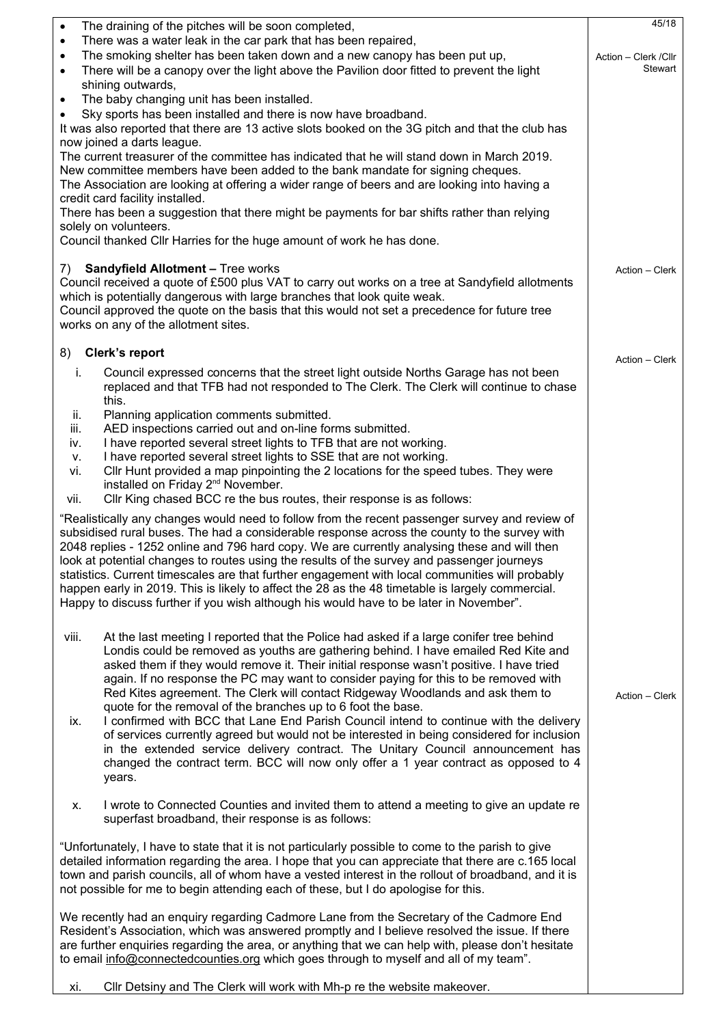| 45/18<br>The draining of the pitches will be soon completed,<br>$\bullet$                                                                                                                                                                                                                                                                                                                                                                                                                                                                                                                                                                                                                     |                |  |  |  |
|-----------------------------------------------------------------------------------------------------------------------------------------------------------------------------------------------------------------------------------------------------------------------------------------------------------------------------------------------------------------------------------------------------------------------------------------------------------------------------------------------------------------------------------------------------------------------------------------------------------------------------------------------------------------------------------------------|----------------|--|--|--|
| There was a water leak in the car park that has been repaired,<br>$\bullet$<br>Action - Clerk / Cllr                                                                                                                                                                                                                                                                                                                                                                                                                                                                                                                                                                                          |                |  |  |  |
| The smoking shelter has been taken down and a new canopy has been put up,<br>$\bullet$<br>There will be a canopy over the light above the Pavilion door fitted to prevent the light<br>$\bullet$                                                                                                                                                                                                                                                                                                                                                                                                                                                                                              |                |  |  |  |
| shining outwards,                                                                                                                                                                                                                                                                                                                                                                                                                                                                                                                                                                                                                                                                             |                |  |  |  |
| The baby changing unit has been installed.<br>$\bullet$                                                                                                                                                                                                                                                                                                                                                                                                                                                                                                                                                                                                                                       |                |  |  |  |
| Sky sports has been installed and there is now have broadband.                                                                                                                                                                                                                                                                                                                                                                                                                                                                                                                                                                                                                                |                |  |  |  |
| It was also reported that there are 13 active slots booked on the 3G pitch and that the club has<br>now joined a darts league.                                                                                                                                                                                                                                                                                                                                                                                                                                                                                                                                                                |                |  |  |  |
| The current treasurer of the committee has indicated that he will stand down in March 2019.<br>New committee members have been added to the bank mandate for signing cheques.                                                                                                                                                                                                                                                                                                                                                                                                                                                                                                                 |                |  |  |  |
| The Association are looking at offering a wider range of beers and are looking into having a<br>credit card facility installed.                                                                                                                                                                                                                                                                                                                                                                                                                                                                                                                                                               |                |  |  |  |
| There has been a suggestion that there might be payments for bar shifts rather than relying                                                                                                                                                                                                                                                                                                                                                                                                                                                                                                                                                                                                   |                |  |  |  |
| solely on volunteers.<br>Council thanked Cllr Harries for the huge amount of work he has done.                                                                                                                                                                                                                                                                                                                                                                                                                                                                                                                                                                                                |                |  |  |  |
| 7) Sandyfield Allotment - Tree works                                                                                                                                                                                                                                                                                                                                                                                                                                                                                                                                                                                                                                                          | Action - Clerk |  |  |  |
| Council received a quote of £500 plus VAT to carry out works on a tree at Sandyfield allotments<br>which is potentially dangerous with large branches that look quite weak.<br>Council approved the quote on the basis that this would not set a precedence for future tree<br>works on any of the allotment sites.                                                                                                                                                                                                                                                                                                                                                                           |                |  |  |  |
| 8) Clerk's report                                                                                                                                                                                                                                                                                                                                                                                                                                                                                                                                                                                                                                                                             | Action - Clerk |  |  |  |
| Council expressed concerns that the street light outside Norths Garage has not been<br>i.<br>replaced and that TFB had not responded to The Clerk. The Clerk will continue to chase<br>this.                                                                                                                                                                                                                                                                                                                                                                                                                                                                                                  |                |  |  |  |
| Planning application comments submitted.<br>ii.                                                                                                                                                                                                                                                                                                                                                                                                                                                                                                                                                                                                                                               |                |  |  |  |
| AED inspections carried out and on-line forms submitted.<br>iii.                                                                                                                                                                                                                                                                                                                                                                                                                                                                                                                                                                                                                              |                |  |  |  |
| I have reported several street lights to TFB that are not working.<br>iv.<br>I have reported several street lights to SSE that are not working.<br>v.                                                                                                                                                                                                                                                                                                                                                                                                                                                                                                                                         |                |  |  |  |
| CIIr Hunt provided a map pinpointing the 2 locations for the speed tubes. They were<br>vi.                                                                                                                                                                                                                                                                                                                                                                                                                                                                                                                                                                                                    |                |  |  |  |
| installed on Friday 2 <sup>nd</sup> November.                                                                                                                                                                                                                                                                                                                                                                                                                                                                                                                                                                                                                                                 |                |  |  |  |
| CIIr King chased BCC re the bus routes, their response is as follows:<br>vii.                                                                                                                                                                                                                                                                                                                                                                                                                                                                                                                                                                                                                 |                |  |  |  |
| "Realistically any changes would need to follow from the recent passenger survey and review of<br>subsidised rural buses. The had a considerable response across the county to the survey with<br>2048 replies - 1252 online and 796 hard copy. We are currently analysing these and will then<br>look at potential changes to routes using the results of the survey and passenger journeys<br>statistics. Current timescales are that further engagement with local communities will probably<br>happen early in 2019. This is likely to affect the 28 as the 48 timetable is largely commercial.<br>Happy to discuss further if you wish although his would have to be later in November". |                |  |  |  |
|                                                                                                                                                                                                                                                                                                                                                                                                                                                                                                                                                                                                                                                                                               |                |  |  |  |
| At the last meeting I reported that the Police had asked if a large conifer tree behind<br>viii.<br>Londis could be removed as youths are gathering behind. I have emailed Red Kite and<br>asked them if they would remove it. Their initial response wasn't positive. I have tried                                                                                                                                                                                                                                                                                                                                                                                                           |                |  |  |  |
| again. If no response the PC may want to consider paying for this to be removed with<br>Red Kites agreement. The Clerk will contact Ridgeway Woodlands and ask them to<br>quote for the removal of the branches up to 6 foot the base.<br>I confirmed with BCC that Lane End Parish Council intend to continue with the delivery<br>ix.<br>of services currently agreed but would not be interested in being considered for inclusion                                                                                                                                                                                                                                                         | Action - Clerk |  |  |  |
| in the extended service delivery contract. The Unitary Council announcement has<br>changed the contract term. BCC will now only offer a 1 year contract as opposed to 4<br>years.                                                                                                                                                                                                                                                                                                                                                                                                                                                                                                             |                |  |  |  |
| I wrote to Connected Counties and invited them to attend a meeting to give an update re<br>Х.<br>superfast broadband, their response is as follows:                                                                                                                                                                                                                                                                                                                                                                                                                                                                                                                                           |                |  |  |  |
| "Unfortunately, I have to state that it is not particularly possible to come to the parish to give<br>detailed information regarding the area. I hope that you can appreciate that there are c.165 local<br>town and parish councils, all of whom have a vested interest in the rollout of broadband, and it is<br>not possible for me to begin attending each of these, but I do apologise for this.                                                                                                                                                                                                                                                                                         |                |  |  |  |
| We recently had an enquiry regarding Cadmore Lane from the Secretary of the Cadmore End<br>Resident's Association, which was answered promptly and I believe resolved the issue. If there<br>are further enquiries regarding the area, or anything that we can help with, please don't hesitate<br>to email info@connectedcounties.org which goes through to myself and all of my team".                                                                                                                                                                                                                                                                                                      |                |  |  |  |
|                                                                                                                                                                                                                                                                                                                                                                                                                                                                                                                                                                                                                                                                                               |                |  |  |  |

xi. Cllr Detsiny and The Clerk will work with Mh-p re the website makeover.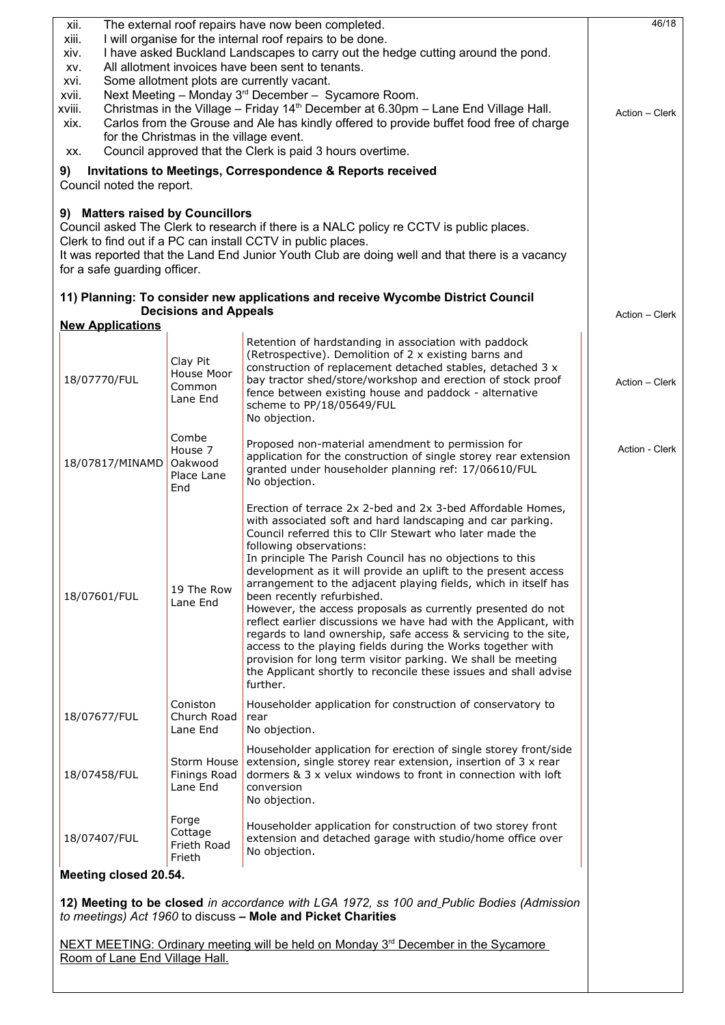| 46/18<br>The external roof repairs have now been completed.<br>xii.                            |                                                                                           |                                                                                                                                               |                |  |  |
|------------------------------------------------------------------------------------------------|-------------------------------------------------------------------------------------------|-----------------------------------------------------------------------------------------------------------------------------------------------|----------------|--|--|
| xiii.<br>xiv.                                                                                  |                                                                                           | I will organise for the internal roof repairs to be done.<br>I have asked Buckland Landscapes to carry out the hedge cutting around the pond. |                |  |  |
| XV.                                                                                            |                                                                                           | All allotment invoices have been sent to tenants.                                                                                             |                |  |  |
| xvi.                                                                                           | Some allotment plots are currently vacant.                                                |                                                                                                                                               |                |  |  |
| xvii.                                                                                          |                                                                                           | Next Meeting - Monday 3 <sup>rd</sup> December - Sycamore Room.                                                                               |                |  |  |
| xviii.                                                                                         |                                                                                           | Christmas in the Village - Friday 14 <sup>th</sup> December at 6.30pm - Lane End Village Hall.                                                | Action - Clerk |  |  |
| xix.                                                                                           | for the Christmas in the village event.                                                   | Carlos from the Grouse and Ale has kindly offered to provide buffet food free of charge                                                       |                |  |  |
| XX.                                                                                            |                                                                                           | Council approved that the Clerk is paid 3 hours overtime.                                                                                     |                |  |  |
|                                                                                                |                                                                                           | Invitations to Meetings, Correspondence & Reports received                                                                                    |                |  |  |
| 9)<br>Council noted the report.                                                                |                                                                                           |                                                                                                                                               |                |  |  |
|                                                                                                |                                                                                           |                                                                                                                                               |                |  |  |
| 9) Matters raised by Councillors                                                               |                                                                                           |                                                                                                                                               |                |  |  |
|                                                                                                |                                                                                           | Council asked The Clerk to research if there is a NALC policy re CCTV is public places.                                                       |                |  |  |
|                                                                                                |                                                                                           | Clerk to find out if a PC can install CCTV in public places.                                                                                  |                |  |  |
| for a safe guarding officer.                                                                   |                                                                                           | It was reported that the Land End Junior Youth Club are doing well and that there is a vacancy                                                |                |  |  |
|                                                                                                |                                                                                           |                                                                                                                                               |                |  |  |
|                                                                                                |                                                                                           | 11) Planning: To consider new applications and receive Wycombe District Council                                                               |                |  |  |
|                                                                                                | <b>Decisions and Appeals</b>                                                              |                                                                                                                                               | Action - Clerk |  |  |
| <b>New Applications</b>                                                                        |                                                                                           |                                                                                                                                               |                |  |  |
|                                                                                                |                                                                                           | Retention of hardstanding in association with paddock<br>(Retrospective). Demolition of 2 x existing barns and                                |                |  |  |
|                                                                                                | Clay Pit                                                                                  | construction of replacement detached stables, detached 3 x                                                                                    |                |  |  |
| 18/07770/FUL                                                                                   | House Moor<br>Common                                                                      | bay tractor shed/store/workshop and erection of stock proof                                                                                   | Action - Clerk |  |  |
|                                                                                                | Lane End                                                                                  | fence between existing house and paddock - alternative<br>scheme to PP/18/05649/FUL                                                           |                |  |  |
|                                                                                                |                                                                                           | No objection.                                                                                                                                 |                |  |  |
|                                                                                                | Combe                                                                                     |                                                                                                                                               |                |  |  |
|                                                                                                | House 7                                                                                   | Proposed non-material amendment to permission for<br>application for the construction of single storey rear extension                         | Action - Clerk |  |  |
| 18/07817/MINAMD                                                                                | Oakwood                                                                                   | granted under householder planning ref: 17/06610/FUL                                                                                          |                |  |  |
|                                                                                                | Place Lane<br>End                                                                         | No objection.                                                                                                                                 |                |  |  |
|                                                                                                |                                                                                           |                                                                                                                                               |                |  |  |
|                                                                                                |                                                                                           | Erection of terrace 2x 2-bed and 2x 3-bed Affordable Homes,<br>with associated soft and hard landscaping and car parking.                     |                |  |  |
|                                                                                                |                                                                                           | Council referred this to Cllr Stewart who later made the                                                                                      |                |  |  |
|                                                                                                |                                                                                           | following observations:                                                                                                                       |                |  |  |
|                                                                                                |                                                                                           | In principle The Parish Council has no objections to this<br>development as it will provide an uplift to the present access                   |                |  |  |
|                                                                                                | 19 The Row                                                                                | arrangement to the adjacent playing fields, which in itself has                                                                               |                |  |  |
| 18/07601/FUL                                                                                   | Lane End                                                                                  | been recently refurbished.                                                                                                                    |                |  |  |
|                                                                                                |                                                                                           | However, the access proposals as currently presented do not<br>reflect earlier discussions we have had with the Applicant, with               |                |  |  |
|                                                                                                |                                                                                           | regards to land ownership, safe access & servicing to the site,                                                                               |                |  |  |
|                                                                                                |                                                                                           | access to the playing fields during the Works together with                                                                                   |                |  |  |
|                                                                                                |                                                                                           | provision for long term visitor parking. We shall be meeting<br>the Applicant shortly to reconcile these issues and shall advise              |                |  |  |
|                                                                                                |                                                                                           | further.                                                                                                                                      |                |  |  |
|                                                                                                | Coniston                                                                                  | Householder application for construction of conservatory to                                                                                   |                |  |  |
| 18/07677/FUL                                                                                   | Church Road                                                                               | rear                                                                                                                                          |                |  |  |
|                                                                                                | Lane End                                                                                  | No objection.                                                                                                                                 |                |  |  |
|                                                                                                |                                                                                           | Householder application for erection of single storey front/side                                                                              |                |  |  |
| 18/07458/FUL                                                                                   | Storm House<br>Finings Road                                                               | extension, single storey rear extension, insertion of 3 x rear<br>dormers & 3 x yelux windows to front in connection with loft                |                |  |  |
|                                                                                                | Lane End                                                                                  | conversion                                                                                                                                    |                |  |  |
|                                                                                                |                                                                                           | No objection.                                                                                                                                 |                |  |  |
|                                                                                                | Forge                                                                                     | Householder application for construction of two storey front                                                                                  |                |  |  |
| 18/07407/FUL                                                                                   | Cottage                                                                                   | extension and detached garage with studio/home office over                                                                                    |                |  |  |
|                                                                                                | Frieth Road<br>Frieth                                                                     | No objection.                                                                                                                                 |                |  |  |
| Meeting closed 20.54.                                                                          |                                                                                           |                                                                                                                                               |                |  |  |
|                                                                                                |                                                                                           |                                                                                                                                               |                |  |  |
|                                                                                                | 12) Meeting to be closed in accordance with LGA 1972, ss 100 and Public Bodies (Admission |                                                                                                                                               |                |  |  |
|                                                                                                |                                                                                           | to meetings) Act 1960 to discuss - Mole and Picket Charities                                                                                  |                |  |  |
| NEXT MEETING: Ordinary meeting will be held on Monday 3 <sup>rd</sup> December in the Sycamore |                                                                                           |                                                                                                                                               |                |  |  |
| Room of Lane End Village Hall.                                                                 |                                                                                           |                                                                                                                                               |                |  |  |
|                                                                                                |                                                                                           |                                                                                                                                               |                |  |  |
|                                                                                                |                                                                                           |                                                                                                                                               |                |  |  |